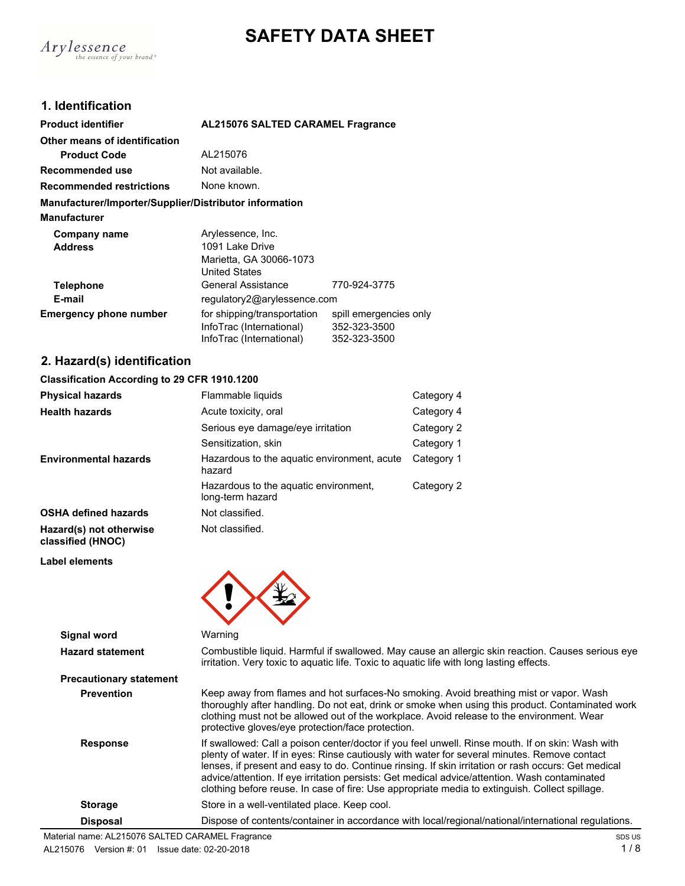



 $A$ ry $l$ essence of your brand\*

| <b>Product identifier</b>                              | <b>AL215076 SALTED CARAMEL Fragrance</b>                |                                        |  |
|--------------------------------------------------------|---------------------------------------------------------|----------------------------------------|--|
| Other means of identification                          |                                                         |                                        |  |
| <b>Product Code</b>                                    | AL215076                                                |                                        |  |
| Recommended use                                        | Not available.                                          |                                        |  |
| <b>Recommended restrictions</b>                        | None known.                                             |                                        |  |
| Manufacturer/Importer/Supplier/Distributor information |                                                         |                                        |  |
| <b>Manufacturer</b>                                    |                                                         |                                        |  |
| Company name                                           | Arylessence, Inc.                                       |                                        |  |
| <b>Address</b>                                         | 1091 Lake Drive                                         |                                        |  |
|                                                        | Marietta, GA 30066-1073                                 |                                        |  |
|                                                        | <b>United States</b>                                    |                                        |  |
| <b>Telephone</b>                                       | General Assistance                                      | 770-924-3775                           |  |
| E-mail                                                 | regulatory2@arylessence.com                             |                                        |  |
| <b>Emergency phone number</b>                          | for shipping/transportation<br>InfoTrac (International) | spill emergencies only<br>352-323-3500 |  |
|                                                        | InfoTrac (International)                                | 352-323-3500                           |  |

## **2. Hazard(s) identification**

#### **Classification According to 29 CFR 1910.1200**

| <b>Physical hazards</b>                      | Flammable liquids                                         | Category 4 |
|----------------------------------------------|-----------------------------------------------------------|------------|
| <b>Health hazards</b>                        | Acute toxicity, oral                                      | Category 4 |
|                                              | Serious eye damage/eye irritation                         | Category 2 |
|                                              | Sensitization, skin                                       | Category 1 |
| <b>Environmental hazards</b>                 | Hazardous to the aquatic environment, acute<br>hazard     | Category 1 |
|                                              | Hazardous to the aquatic environment,<br>long-term hazard | Category 2 |
| <b>OSHA defined hazards</b>                  | Not classified.                                           |            |
| Hazard(s) not otherwise<br>classified (HNOC) | Not classified.                                           |            |

**Label elements**



| Signal word                    | Warning                                                                                                                                                                                                                                                                                                                                                                                                                                                                                                    |
|--------------------------------|------------------------------------------------------------------------------------------------------------------------------------------------------------------------------------------------------------------------------------------------------------------------------------------------------------------------------------------------------------------------------------------------------------------------------------------------------------------------------------------------------------|
| <b>Hazard statement</b>        | Combustible liquid. Harmful if swallowed. May cause an allergic skin reaction. Causes serious eye<br>irritation. Very toxic to aquatic life. Toxic to aquatic life with long lasting effects.                                                                                                                                                                                                                                                                                                              |
| <b>Precautionary statement</b> |                                                                                                                                                                                                                                                                                                                                                                                                                                                                                                            |
| <b>Prevention</b>              | Keep away from flames and hot surfaces-No smoking. Avoid breathing mist or vapor. Wash<br>thoroughly after handling. Do not eat, drink or smoke when using this product. Contaminated work<br>clothing must not be allowed out of the workplace. Avoid release to the environment. Wear<br>protective gloves/eye protection/face protection.                                                                                                                                                               |
| <b>Response</b>                | If swallowed: Call a poison center/doctor if you feel unwell. Rinse mouth. If on skin: Wash with<br>plenty of water. If in eyes: Rinse cautiously with water for several minutes. Remove contact<br>lenses, if present and easy to do. Continue rinsing. If skin irritation or rash occurs: Get medical<br>advice/attention. If eye irritation persists: Get medical advice/attention. Wash contaminated<br>clothing before reuse. In case of fire: Use appropriate media to extinguish. Collect spillage. |
| <b>Storage</b>                 | Store in a well-ventilated place. Keep cool.                                                                                                                                                                                                                                                                                                                                                                                                                                                               |
| <b>Disposal</b>                | Dispose of contents/container in accordance with local/regional/national/international regulations.                                                                                                                                                                                                                                                                                                                                                                                                        |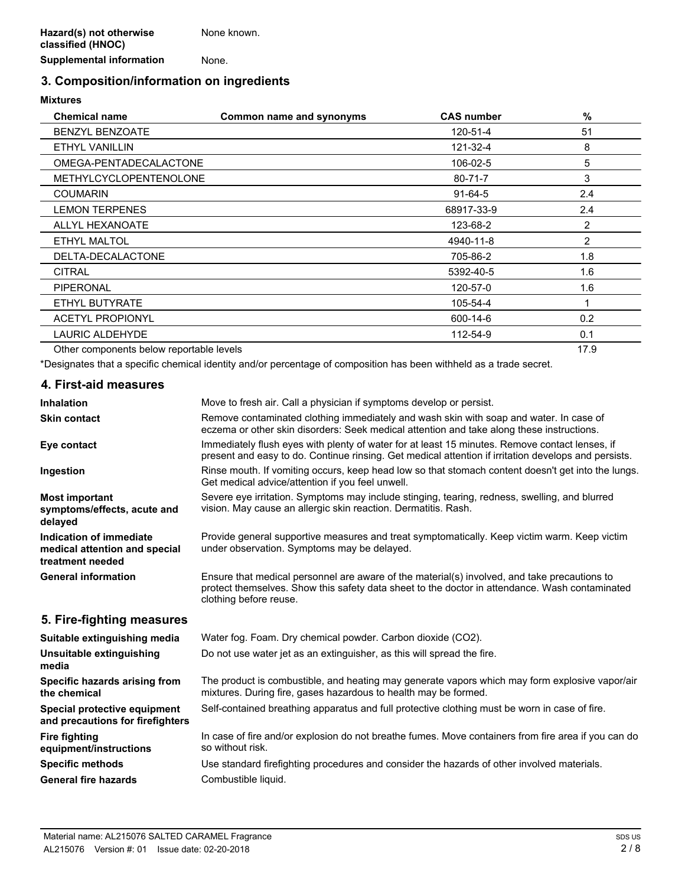**Supplemental information** None.

## **3. Composition/information on ingredients**

#### **Mixtures**

| <b>Chemical name</b>                     | Common name and synonyms | <b>CAS number</b> | %              |
|------------------------------------------|--------------------------|-------------------|----------------|
| <b>BENZYL BENZOATE</b>                   |                          | 120-51-4          | 51             |
| ETHYL VANILLIN                           |                          | 121-32-4          | 8              |
| OMEGA-PENTADECALACTONE                   |                          | 106-02-5          | 5              |
| <b>METHYLCYCLOPENTENOLONE</b>            |                          | $80 - 71 - 7$     | 3              |
| <b>COUMARIN</b>                          |                          | $91 - 64 - 5$     | 2.4            |
| <b>LEMON TERPENES</b>                    |                          | 68917-33-9        | 2.4            |
| <b>ALLYL HEXANOATE</b>                   |                          | 123-68-2          | 2              |
| ETHYL MALTOL                             |                          | 4940-11-8         | $\overline{2}$ |
| DELTA-DECALACTONE                        |                          | 705-86-2          | 1.8            |
| <b>CITRAL</b>                            |                          | 5392-40-5         | 1.6            |
| <b>PIPERONAL</b>                         |                          | 120-57-0          | 1.6            |
| ETHYL BUTYRATE                           |                          | 105-54-4          |                |
| <b>ACETYL PROPIONYL</b>                  |                          | 600-14-6          | 0.2            |
| <b>LAURIC ALDEHYDE</b>                   |                          | 112-54-9          | 0.1            |
| Other components below reportable levels |                          |                   | 17.9           |

\*Designates that a specific chemical identity and/or percentage of composition has been withheld as a trade secret.

# **4. First-aid measures**

**Fire fighting**

**equipment/instructions**

| <b>Inhalation</b>                                                            | Move to fresh air. Call a physician if symptoms develop or persist.                                                                                                                                                      |
|------------------------------------------------------------------------------|--------------------------------------------------------------------------------------------------------------------------------------------------------------------------------------------------------------------------|
| <b>Skin contact</b>                                                          | Remove contaminated clothing immediately and wash skin with soap and water. In case of<br>eczema or other skin disorders: Seek medical attention and take along these instructions.                                      |
| Eye contact                                                                  | Immediately flush eyes with plenty of water for at least 15 minutes. Remove contact lenses, if<br>present and easy to do. Continue rinsing. Get medical attention if irritation develops and persists.                   |
| Ingestion                                                                    | Rinse mouth. If vomiting occurs, keep head low so that stomach content doesn't get into the lungs.<br>Get medical advice/attention if you feel unwell.                                                                   |
| <b>Most important</b><br>symptoms/effects, acute and<br>delayed              | Severe eye irritation. Symptoms may include stinging, tearing, redness, swelling, and blurred<br>vision. May cause an allergic skin reaction. Dermatitis. Rash.                                                          |
| Indication of immediate<br>medical attention and special<br>treatment needed | Provide general supportive measures and treat symptomatically. Keep victim warm. Keep victim<br>under observation. Symptoms may be delayed.                                                                              |
| <b>General information</b>                                                   | Ensure that medical personnel are aware of the material(s) involved, and take precautions to<br>protect themselves. Show this safety data sheet to the doctor in attendance. Wash contaminated<br>clothing before reuse. |
| 5. Fire-fighting measures                                                    |                                                                                                                                                                                                                          |
| Suitable extinguishing media                                                 | Water fog. Foam. Dry chemical powder. Carbon dioxide (CO2).                                                                                                                                                              |
| Unsuitable extinguishing<br>media                                            | Do not use water jet as an extinguisher, as this will spread the fire.                                                                                                                                                   |
| Specific hazards arising from<br>the chemical                                | The product is combustible, and heating may generate vapors which may form explosive vapor/air<br>mixtures. During fire, gases hazardous to health may be formed.                                                        |

**Special protective equipment** Self-contained breathing apparatus and full protective clothing must be worn in case of fire. **and precautions for firefighters**

> In case of fire and/or explosion do not breathe fumes. Move containers from fire area if you can do so without risk.

**Specific methods** Use standard firefighting procedures and consider the hazards of other involved materials. General fire hazards **Combustible liquid.**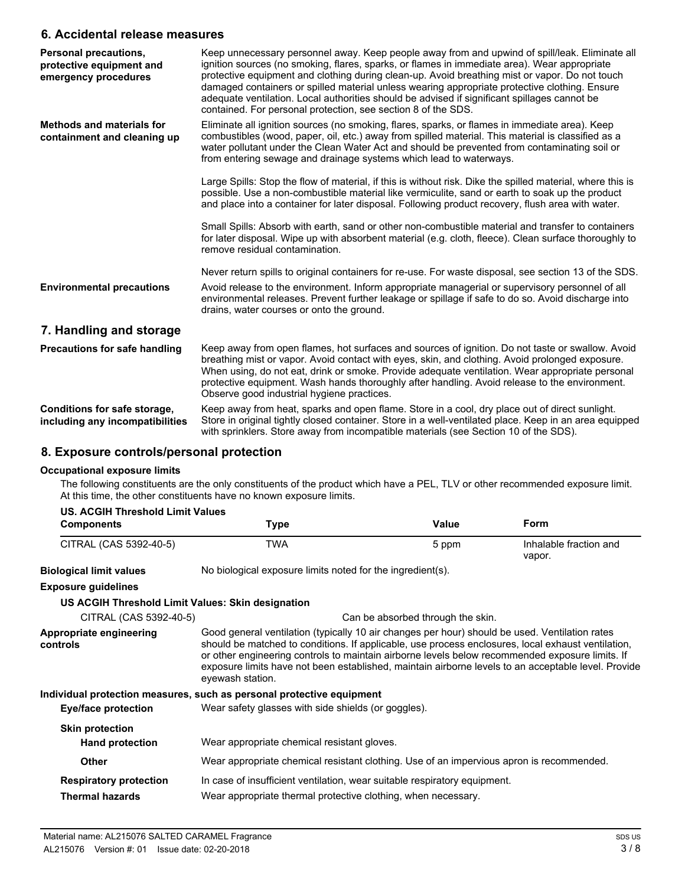#### **6. Accidental release measures**

| Personal precautions,<br>protective equipment and<br>emergency procedures | Keep unnecessary personnel away. Keep people away from and upwind of spill/leak. Eliminate all<br>ignition sources (no smoking, flares, sparks, or flames in immediate area). Wear appropriate<br>protective equipment and clothing during clean-up. Avoid breathing mist or vapor. Do not touch<br>damaged containers or spilled material unless wearing appropriate protective clothing. Ensure<br>adequate ventilation. Local authorities should be advised if significant spillages cannot be<br>contained. For personal protection, see section 8 of the SDS. |
|---------------------------------------------------------------------------|--------------------------------------------------------------------------------------------------------------------------------------------------------------------------------------------------------------------------------------------------------------------------------------------------------------------------------------------------------------------------------------------------------------------------------------------------------------------------------------------------------------------------------------------------------------------|
| <b>Methods and materials for</b><br>containment and cleaning up           | Eliminate all ignition sources (no smoking, flares, sparks, or flames in immediate area). Keep<br>combustibles (wood, paper, oil, etc.) away from spilled material. This material is classified as a<br>water pollutant under the Clean Water Act and should be prevented from contaminating soil or<br>from entering sewage and drainage systems which lead to waterways.                                                                                                                                                                                         |
|                                                                           | Large Spills: Stop the flow of material, if this is without risk. Dike the spilled material, where this is<br>possible. Use a non-combustible material like vermiculite, sand or earth to soak up the product<br>and place into a container for later disposal. Following product recovery, flush area with water.                                                                                                                                                                                                                                                 |
|                                                                           | Small Spills: Absorb with earth, sand or other non-combustible material and transfer to containers<br>for later disposal. Wipe up with absorbent material (e.g. cloth, fleece). Clean surface thoroughly to<br>remove residual contamination.                                                                                                                                                                                                                                                                                                                      |
|                                                                           | Never return spills to original containers for re-use. For waste disposal, see section 13 of the SDS.                                                                                                                                                                                                                                                                                                                                                                                                                                                              |
| <b>Environmental precautions</b>                                          | Avoid release to the environment. Inform appropriate managerial or supervisory personnel of all<br>environmental releases. Prevent further leakage or spillage if safe to do so. Avoid discharge into<br>drains, water courses or onto the ground.                                                                                                                                                                                                                                                                                                                 |
| 7. Handling and storage                                                   |                                                                                                                                                                                                                                                                                                                                                                                                                                                                                                                                                                    |
| <b>Precautions for safe handling</b>                                      | Keep away from open flames, hot surfaces and sources of ignition. Do not taste or swallow. Avoid<br>breathing mist or vapor. Avoid contact with eyes, skin, and clothing. Avoid prolonged exposure.<br>When using, do not eat, drink or smoke. Provide adequate ventilation. Wear appropriate personal<br>protective equipment. Wash hands thoroughly after handling. Avoid release to the environment.<br>Observe good industrial hygiene practices.                                                                                                              |
| Conditions for safe storage,<br>including any incompatibilities           | Keep away from heat, sparks and open flame. Store in a cool, dry place out of direct sunlight.<br>Store in original tightly closed container. Store in a well-ventilated place. Keep in an area equipped<br>with sprinklers. Store away from incompatible materials (see Section 10 of the SDS).                                                                                                                                                                                                                                                                   |

## **8. Exposure controls/personal protection**

#### **Occupational exposure limits**

The following constituents are the only constituents of the product which have a PEL, TLV or other recommended exposure limit. At this time, the other constituents have no known exposure limits.

| US. ACGIH Threshold Limit Values                  |                                                                                                                                                                                                                                                                                                                                                                                                                                    |                                   |                                  |
|---------------------------------------------------|------------------------------------------------------------------------------------------------------------------------------------------------------------------------------------------------------------------------------------------------------------------------------------------------------------------------------------------------------------------------------------------------------------------------------------|-----------------------------------|----------------------------------|
| <b>Components</b>                                 | <b>Type</b>                                                                                                                                                                                                                                                                                                                                                                                                                        | Value                             | Form                             |
| CITRAL (CAS 5392-40-5)                            | <b>TWA</b>                                                                                                                                                                                                                                                                                                                                                                                                                         | 5 ppm                             | Inhalable fraction and<br>vapor. |
| <b>Biological limit values</b>                    | No biological exposure limits noted for the ingredient(s).                                                                                                                                                                                                                                                                                                                                                                         |                                   |                                  |
| <b>Exposure guidelines</b>                        |                                                                                                                                                                                                                                                                                                                                                                                                                                    |                                   |                                  |
| US ACGIH Threshold Limit Values: Skin designation |                                                                                                                                                                                                                                                                                                                                                                                                                                    |                                   |                                  |
| CITRAL (CAS 5392-40-5)                            |                                                                                                                                                                                                                                                                                                                                                                                                                                    | Can be absorbed through the skin. |                                  |
| Appropriate engineering<br>controls               | Good general ventilation (typically 10 air changes per hour) should be used. Ventilation rates<br>should be matched to conditions. If applicable, use process enclosures, local exhaust ventilation,<br>or other engineering controls to maintain airborne levels below recommended exposure limits. If<br>exposure limits have not been established, maintain airborne levels to an acceptable level. Provide<br>eyewash station. |                                   |                                  |
|                                                   | Individual protection measures, such as personal protective equipment                                                                                                                                                                                                                                                                                                                                                              |                                   |                                  |
| Eye/face protection                               | Wear safety glasses with side shields (or goggles).                                                                                                                                                                                                                                                                                                                                                                                |                                   |                                  |
| <b>Skin protection</b>                            |                                                                                                                                                                                                                                                                                                                                                                                                                                    |                                   |                                  |
| <b>Hand protection</b>                            | Wear appropriate chemical resistant gloves.                                                                                                                                                                                                                                                                                                                                                                                        |                                   |                                  |
| <b>Other</b>                                      | Wear appropriate chemical resistant clothing. Use of an impervious apron is recommended.                                                                                                                                                                                                                                                                                                                                           |                                   |                                  |
| <b>Respiratory protection</b>                     | In case of insufficient ventilation, wear suitable respiratory equipment.                                                                                                                                                                                                                                                                                                                                                          |                                   |                                  |
| <b>Thermal hazards</b>                            | Wear appropriate thermal protective clothing, when necessary.                                                                                                                                                                                                                                                                                                                                                                      |                                   |                                  |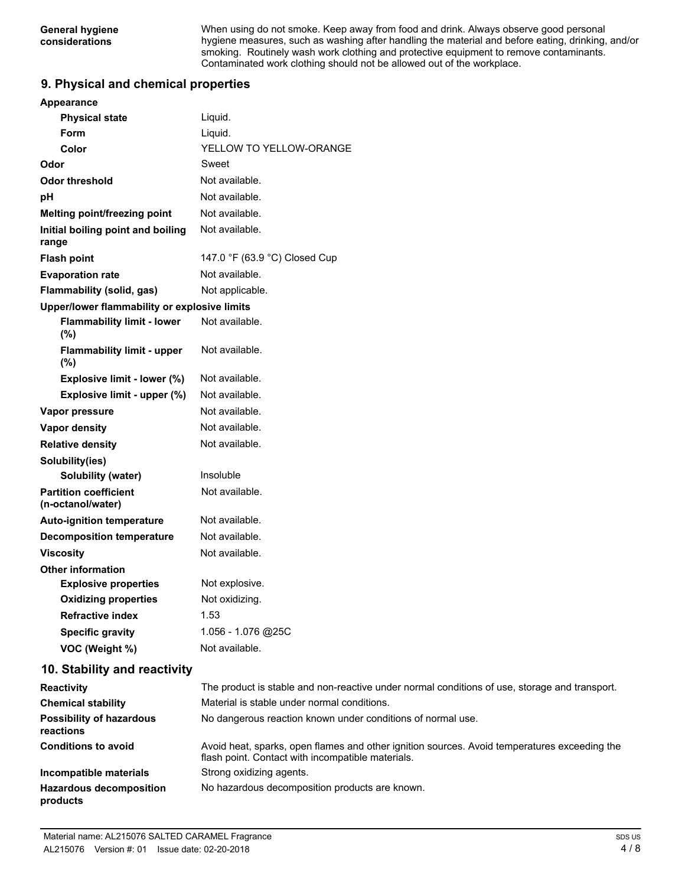When using do not smoke. Keep away from food and drink. Always observe good personal hygiene measures, such as washing after handling the material and before eating, drinking, and/or smoking. Routinely wash work clothing and protective equipment to remove contaminants. Contaminated work clothing should not be allowed out of the workplace.

### **9. Physical and chemical properties**

| <b>Appearance</b>                                 |                               |
|---------------------------------------------------|-------------------------------|
| <b>Physical state</b>                             | Liquid.                       |
| Form                                              | Liquid.                       |
| Color                                             | YELLOW TO YELLOW-ORANGE       |
| Odor                                              | Sweet                         |
| Odor threshold                                    | Not available.                |
| рH                                                | Not available.                |
| <b>Melting point/freezing point</b>               | Not available.                |
| Initial boiling point and boiling<br>range        | Not available.                |
| <b>Flash point</b>                                | 147.0 °F (63.9 °C) Closed Cup |
| <b>Evaporation rate</b>                           | Not available.                |
| Flammability (solid, gas)                         | Not applicable.               |
| Upper/lower flammability or explosive limits      |                               |
| <b>Flammability limit - lower</b><br>$(\%)$       | Not available.                |
| <b>Flammability limit - upper</b><br>$(\% )$      | Not available.                |
| Explosive limit - lower (%)                       | Not available.                |
| Explosive limit - upper (%)                       | Not available.                |
| Vapor pressure                                    | Not available.                |
| Vapor density                                     | Not available.                |
| <b>Relative density</b>                           | Not available.                |
| Solubility(ies)                                   |                               |
| <b>Solubility (water)</b>                         | Insoluble                     |
| <b>Partition coefficient</b><br>(n-octanol/water) | Not available.                |
| <b>Auto-ignition temperature</b>                  | Not available.                |
| <b>Decomposition temperature</b>                  | Not available.                |
| Viscosity                                         | Not available.                |
| <b>Other information</b>                          |                               |
| <b>Explosive properties</b>                       | Not explosive.                |
| <b>Oxidizing properties</b>                       | Not oxidizing.                |
| <b>Refractive index</b>                           | 1.53                          |
| <b>Specific gravity</b>                           | 1.056 - 1.076 @25C            |
| VOC (Weight %)                                    | Not available.                |
| 10. Stability and reactivity                      |                               |

| <b>Reactivity</b>                            | The product is stable and non-reactive under normal conditions of use, storage and transport.                                                     |
|----------------------------------------------|---------------------------------------------------------------------------------------------------------------------------------------------------|
| <b>Chemical stability</b>                    | Material is stable under normal conditions.                                                                                                       |
| <b>Possibility of hazardous</b><br>reactions | No dangerous reaction known under conditions of normal use.                                                                                       |
| <b>Conditions to avoid</b>                   | Avoid heat, sparks, open flames and other ignition sources. Avoid temperatures exceeding the<br>flash point. Contact with incompatible materials. |
| Incompatible materials                       | Strong oxidizing agents.                                                                                                                          |
| <b>Hazardous decomposition</b><br>products   | No hazardous decomposition products are known.                                                                                                    |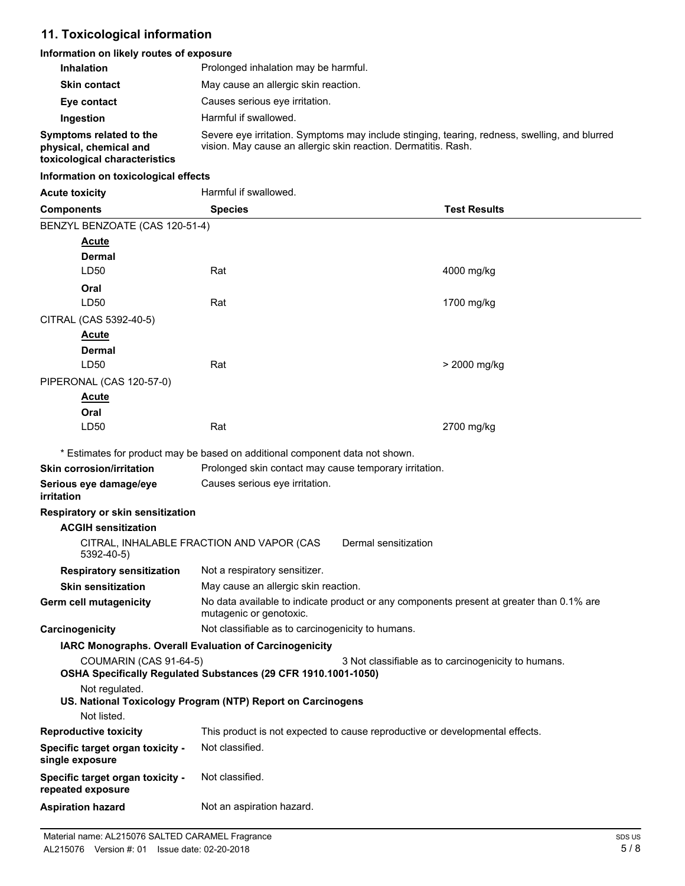## **11. Toxicological information**

## **Information on likely routes of exposure**

| <b>Inhalation</b>                                 | Prolonged inhalation may be harmful.                                                                                                                            |
|---------------------------------------------------|-----------------------------------------------------------------------------------------------------------------------------------------------------------------|
| <b>Skin contact</b>                               | May cause an allergic skin reaction.                                                                                                                            |
| Eye contact                                       | Causes serious eve irritation.                                                                                                                                  |
| Ingestion                                         | Harmful if swallowed.                                                                                                                                           |
| Symptoms related to the<br>physical, chemical and | Severe eye irritation. Symptoms may include stinging, tearing, redness, swelling, and blurred<br>vision. May cause an allergic skin reaction. Dermatitis. Rash. |

## **toxicological characteristics**

#### **Information on toxicological effects**

| <b>Acute toxicity</b>                                 | Harmful if swallowed.                                                                                               |                                                     |
|-------------------------------------------------------|---------------------------------------------------------------------------------------------------------------------|-----------------------------------------------------|
| <b>Components</b>                                     | <b>Species</b>                                                                                                      | <b>Test Results</b>                                 |
| BENZYL BENZOATE (CAS 120-51-4)                        |                                                                                                                     |                                                     |
| <b>Acute</b>                                          |                                                                                                                     |                                                     |
| Dermal                                                |                                                                                                                     |                                                     |
| LD50                                                  | Rat                                                                                                                 | 4000 mg/kg                                          |
| Oral                                                  |                                                                                                                     |                                                     |
| LD50                                                  | Rat                                                                                                                 | 1700 mg/kg                                          |
| CITRAL (CAS 5392-40-5)                                |                                                                                                                     |                                                     |
| <u>Acute</u>                                          |                                                                                                                     |                                                     |
| <b>Dermal</b>                                         |                                                                                                                     |                                                     |
| LD50                                                  | Rat                                                                                                                 | > 2000 mg/kg                                        |
| PIPERONAL (CAS 120-57-0)                              |                                                                                                                     |                                                     |
| <b>Acute</b>                                          |                                                                                                                     |                                                     |
| Oral                                                  |                                                                                                                     |                                                     |
| LD50                                                  | Rat                                                                                                                 | 2700 mg/kg                                          |
|                                                       | * Estimates for product may be based on additional component data not shown.                                        |                                                     |
| <b>Skin corrosion/irritation</b>                      | Prolonged skin contact may cause temporary irritation.                                                              |                                                     |
| Serious eye damage/eye<br><i>irritation</i>           | Causes serious eye irritation.                                                                                      |                                                     |
| Respiratory or skin sensitization                     |                                                                                                                     |                                                     |
| <b>ACGIH sensitization</b>                            |                                                                                                                     |                                                     |
| 5392-40-5)                                            | Dermal sensitization<br>CITRAL, INHALABLE FRACTION AND VAPOR (CAS                                                   |                                                     |
| <b>Respiratory sensitization</b>                      | Not a respiratory sensitizer.                                                                                       |                                                     |
| <b>Skin sensitization</b>                             | May cause an allergic skin reaction.                                                                                |                                                     |
| Germ cell mutagenicity                                | No data available to indicate product or any components present at greater than 0.1% are<br>mutagenic or genotoxic. |                                                     |
| Carcinogenicity                                       | Not classifiable as to carcinogenicity to humans.                                                                   |                                                     |
|                                                       | IARC Monographs. Overall Evaluation of Carcinogenicity                                                              |                                                     |
| COUMARIN (CAS 91-64-5)                                |                                                                                                                     | 3 Not classifiable as to carcinogenicity to humans. |
|                                                       | OSHA Specifically Regulated Substances (29 CFR 1910.1001-1050)                                                      |                                                     |
| Not regulated.                                        | US. National Toxicology Program (NTP) Report on Carcinogens                                                         |                                                     |
| Not listed.                                           |                                                                                                                     |                                                     |
| <b>Reproductive toxicity</b>                          | This product is not expected to cause reproductive or developmental effects.                                        |                                                     |
| Specific target organ toxicity -<br>single exposure   | Not classified.                                                                                                     |                                                     |
| Specific target organ toxicity -<br>repeated exposure | Not classified.                                                                                                     |                                                     |
| <b>Aspiration hazard</b>                              | Not an aspiration hazard.                                                                                           |                                                     |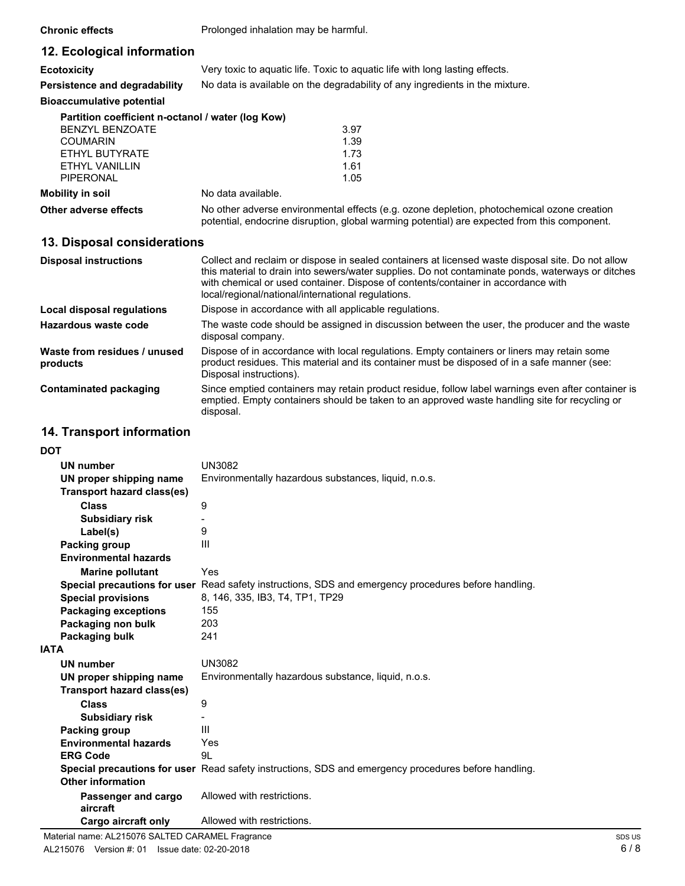**Chronic effects** Prolonged inhalation may be harmful.

# **12. Ecological information**

| <b>Ecotoxicity</b> |  | Very toxic to aquatic life. Toxic to aquatic life with long lasting effects. |  |
|--------------------|--|------------------------------------------------------------------------------|--|
|--------------------|--|------------------------------------------------------------------------------|--|

**Persistence and degradability** No data is available on the degradability of any ingredients in the mixture.

#### **Bioaccumulative potential**

| Partition coefficient n-octanol / water (log Kow) |                    |      |
|---------------------------------------------------|--------------------|------|
| BENZYL BENZOATE                                   |                    | 3.97 |
| <b>COUMARIN</b>                                   |                    | 1.39 |
| ETHYL BUTYRATE                                    |                    | 1.73 |
| FTHYL VANILLIN                                    |                    | 1.61 |
| PIPERONAL                                         |                    | 1.05 |
| Mobility in soil                                  | No data available. |      |

No other adverse environmental effects (e.g. ozone depletion, photochemical ozone creation potential, endocrine disruption, global warming potential) are expected from this component.

### **13. Disposal considerations**

| <b>Disposal instructions</b>             | Collect and reclaim or dispose in sealed containers at licensed waste disposal site. Do not allow<br>this material to drain into sewers/water supplies. Do not contaminate ponds, waterways or ditches<br>with chemical or used container. Dispose of contents/container in accordance with<br>local/regional/national/international regulations. |
|------------------------------------------|---------------------------------------------------------------------------------------------------------------------------------------------------------------------------------------------------------------------------------------------------------------------------------------------------------------------------------------------------|
| Local disposal regulations               | Dispose in accordance with all applicable regulations.                                                                                                                                                                                                                                                                                            |
| Hazardous waste code                     | The waste code should be assigned in discussion between the user, the producer and the waste<br>disposal company.                                                                                                                                                                                                                                 |
| Waste from residues / unused<br>products | Dispose of in accordance with local regulations. Empty containers or liners may retain some<br>product residues. This material and its container must be disposed of in a safe manner (see:<br>Disposal instructions).                                                                                                                            |
| Contaminated packaging                   | Since emptied containers may retain product residue, follow label warnings even after container is<br>emptied. Empty containers should be taken to an approved waste handling site for recycling or<br>disposal.                                                                                                                                  |

### **14. Transport information**

**DOT**

| וטע                             |                                                                                                      |  |
|---------------------------------|------------------------------------------------------------------------------------------------------|--|
| <b>UN number</b>                | <b>UN3082</b>                                                                                        |  |
| UN proper shipping name         | Environmentally hazardous substances, liquid, n.o.s.                                                 |  |
| Transport hazard class(es)      |                                                                                                      |  |
| Class                           | 9                                                                                                    |  |
| <b>Subsidiary risk</b>          |                                                                                                      |  |
| Label(s)                        | 9                                                                                                    |  |
| Packing group                   | Ш                                                                                                    |  |
| <b>Environmental hazards</b>    |                                                                                                      |  |
| <b>Marine pollutant</b>         | Yes                                                                                                  |  |
|                                 | Special precautions for user Read safety instructions, SDS and emergency procedures before handling. |  |
| <b>Special provisions</b>       | 8, 146, 335, IB3, T4, TP1, TP29                                                                      |  |
| <b>Packaging exceptions</b>     | 155                                                                                                  |  |
| Packaging non bulk              | 203                                                                                                  |  |
| Packaging bulk                  | 241                                                                                                  |  |
| <b>IATA</b>                     |                                                                                                      |  |
| <b>UN number</b>                | <b>UN3082</b>                                                                                        |  |
| UN proper shipping name         | Environmentally hazardous substance, liquid, n.o.s.                                                  |  |
| Transport hazard class(es)      |                                                                                                      |  |
| <b>Class</b>                    | 9                                                                                                    |  |
| <b>Subsidiary risk</b>          |                                                                                                      |  |
| Packing group                   | Ш                                                                                                    |  |
| <b>Environmental hazards</b>    | Yes                                                                                                  |  |
| <b>ERG Code</b>                 | 9L                                                                                                   |  |
|                                 | Special precautions for user Read safety instructions, SDS and emergency procedures before handling. |  |
| Other information               |                                                                                                      |  |
| Passenger and cargo<br>aircraft | Allowed with restrictions.                                                                           |  |
| Cargo aircraft only             | Allowed with restrictions.                                                                           |  |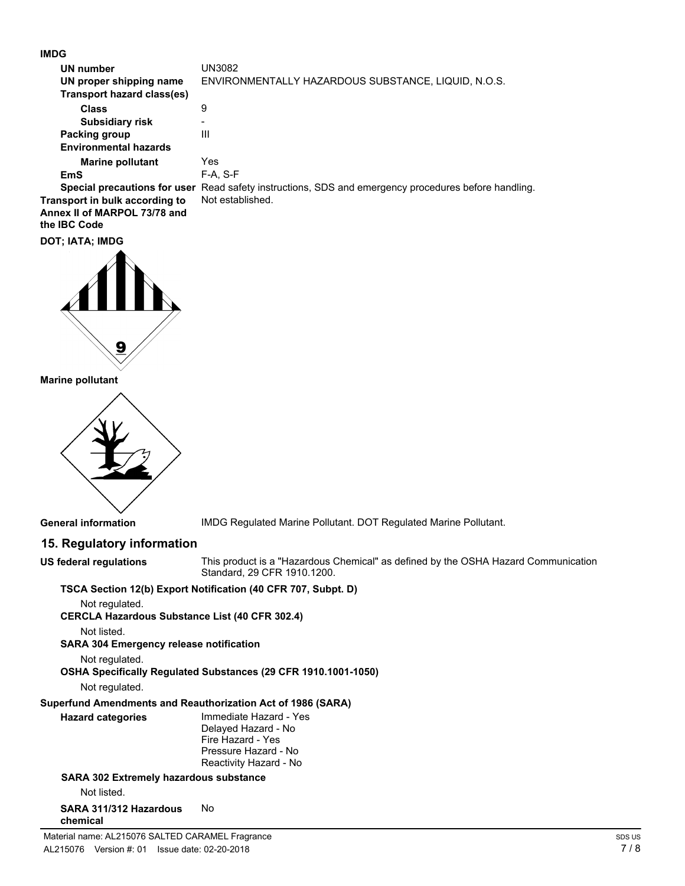**IMDG**

| UN number<br>UN proper shipping name<br>Transport hazard class(es) | UN3082<br>ENVIRONMENTALLY HAZARDOUS SUBSTANCE, LIQUID, N.O.S.                                        |
|--------------------------------------------------------------------|------------------------------------------------------------------------------------------------------|
| <b>Class</b>                                                       | 9                                                                                                    |
| <b>Subsidiary risk</b>                                             | -                                                                                                    |
| Packing group                                                      | Ш                                                                                                    |
| Environmental hazards                                              |                                                                                                      |
| <b>Marine pollutant</b>                                            | Yes                                                                                                  |
| EmS                                                                | F-A. S-F                                                                                             |
|                                                                    | Special precautions for user Read safety instructions, SDS and emergency procedures before handling. |
| anaut in bulls accounting to                                       | Not optablished                                                                                      |

**Transport in bulk according to** Not established. **Annex II of MARPOL 73/78 and the IBC Code**





**Marine pollutant**



**General information** IMDG Regulated Marine Pollutant. DOT Regulated Marine Pollutant.

# **15. Regulatory information**

| US federal regulations                                | This product is a "Hazardous Chemical" as defined by the OSHA Hazard Communication<br>Standard, 29 CFR 1910.1200. |  |
|-------------------------------------------------------|-------------------------------------------------------------------------------------------------------------------|--|
|                                                       | TSCA Section 12(b) Export Notification (40 CFR 707, Subpt. D)                                                     |  |
| Not regulated.                                        |                                                                                                                   |  |
| <b>CERCLA Hazardous Substance List (40 CFR 302.4)</b> |                                                                                                                   |  |
| Not listed.                                           |                                                                                                                   |  |
| <b>SARA 304 Emergency release notification</b>        |                                                                                                                   |  |
| Not regulated.                                        |                                                                                                                   |  |
|                                                       | OSHA Specifically Regulated Substances (29 CFR 1910.1001-1050)                                                    |  |
| Not regulated.                                        |                                                                                                                   |  |
|                                                       | Superfund Amendments and Reauthorization Act of 1986 (SARA)                                                       |  |
| <b>Hazard categories</b>                              | Immediate Hazard - Yes                                                                                            |  |
|                                                       | Delayed Hazard - No                                                                                               |  |
|                                                       | Fire Hazard - Yes<br>Pressure Hazard - No                                                                         |  |
|                                                       | Reactivity Hazard - No                                                                                            |  |
| <b>SARA 302 Extremely hazardous substance</b>         |                                                                                                                   |  |
| Not listed.                                           |                                                                                                                   |  |
| SARA 311/312 Hazardous<br>chemical                    | No                                                                                                                |  |
| Material name: AL215076 SALTED CARAMEL Fragrance      |                                                                                                                   |  |